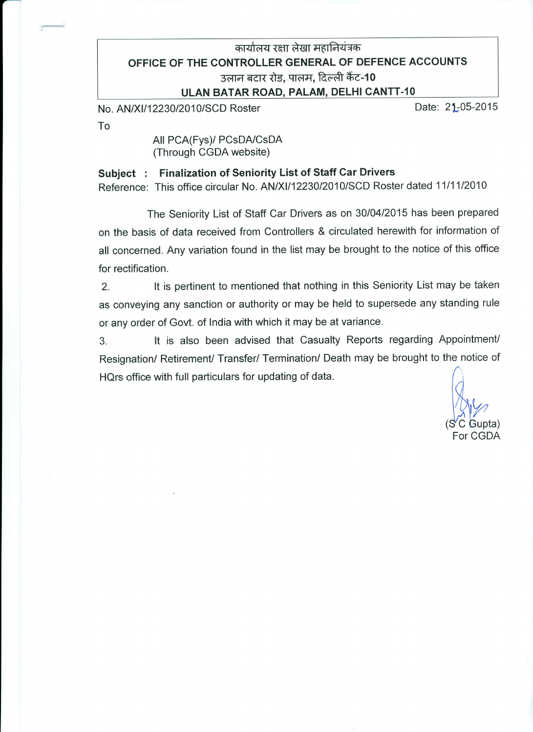## कार्यालय रक्षा लेखा महानियंत्रक OFFICE OF THE CONTROLLER GENERAL OF DEFENCE ACCOUNTS उलान बटार रोड, पालम, दिल्ली कैंट-10 ULAN BATAR ROAD, PALAM, DELHI CANTT-10

No. AN/XI/12230/2010/SCD Roster

Date: 21-05-2015

To

All PCA(Fys)/ PCsDA/CsDA (Through CGDA website)

## Subiect: Finalization of Seniority List of Staff Car Drivers

Reference: This office circular No. AN/XI/12230/2010/SCD Roster dated 11/11/2010

The Seniority List of Staff Car Drivers as on 30/04/2015 has been prepared on the basis of data received from Controllers & circulated herewith for information of all concerned. Any variation found in the list may be brought to the notice of this office for rectification.

It is pertinent to mentioned that nothing in this Seniority List may be taken  $\overline{2}$ as conveying any sanction or authority or may be held to supersede any standing rule or any order of Govt. of India with which it may be at variance.

It is also been advised that Casualty Reports regarding Appointment/  $3<sub>1</sub>$ Resignation/ Retirement/ Transfer/ Termination/ Death may be brought to the notice of HQrs office with full particulars for updating of data.

Gupta) For CGDA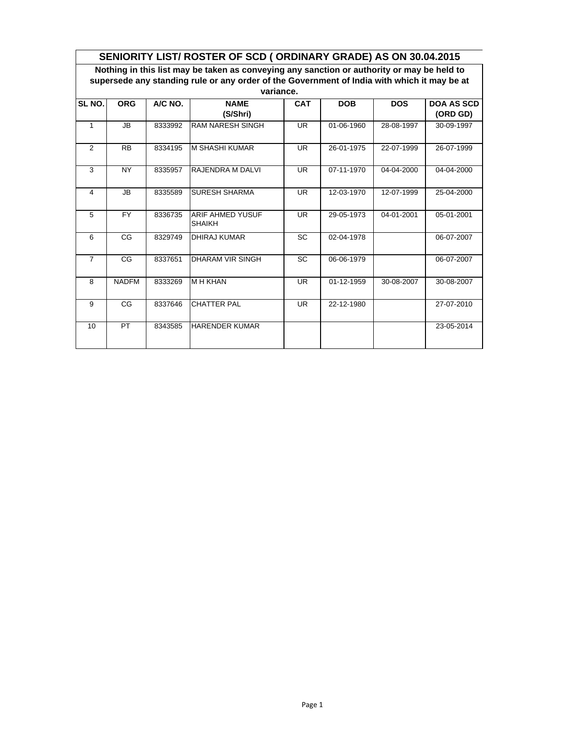| SENIORITY LIST/ ROSTER OF SCD (ORDINARY GRADE) AS ON 30.04.2015 |                                                                                             |         |                                          |            |            |            |                               |  |  |  |  |
|-----------------------------------------------------------------|---------------------------------------------------------------------------------------------|---------|------------------------------------------|------------|------------|------------|-------------------------------|--|--|--|--|
|                                                                 | Nothing in this list may be taken as conveying any sanction or authority or may be held to  |         |                                          |            |            |            |                               |  |  |  |  |
|                                                                 | supersede any standing rule or any order of the Government of India with which it may be at |         |                                          |            |            |            |                               |  |  |  |  |
|                                                                 | variance.                                                                                   |         |                                          |            |            |            |                               |  |  |  |  |
| SL NO.                                                          | A/C NO.<br><b>ORG</b>                                                                       |         | <b>NAME</b><br>(S/Shri)                  | <b>CAT</b> | <b>DOB</b> | <b>DOS</b> | <b>DOA AS SCD</b><br>(ORD GD) |  |  |  |  |
| $\mathbf{1}$                                                    | JB.                                                                                         | 8333992 | <b>RAM NARESH SINGH</b>                  | UR         | 01-06-1960 | 28-08-1997 | 30-09-1997                    |  |  |  |  |
| 2                                                               | <b>RB</b>                                                                                   | 8334195 | <b>M SHASHI KUMAR</b>                    | <b>UR</b>  | 26-01-1975 | 22-07-1999 | 26-07-1999                    |  |  |  |  |
| 3                                                               | <b>NY</b>                                                                                   | 8335957 | RAJENDRA M DALVI                         | <b>UR</b>  | 07-11-1970 | 04-04-2000 | 04-04-2000                    |  |  |  |  |
| 4                                                               | JB                                                                                          | 8335589 | <b>SURESH SHARMA</b>                     | <b>UR</b>  | 12-03-1970 | 12-07-1999 | 25-04-2000                    |  |  |  |  |
| 5                                                               | <b>FY</b>                                                                                   | 8336735 | <b>ARIF AHMED YUSUF</b><br><b>SHAIKH</b> | <b>UR</b>  | 29-05-1973 | 04-01-2001 | 05-01-2001                    |  |  |  |  |
| 6                                                               | CG                                                                                          | 8329749 | <b>DHIRAJ KUMAR</b>                      | <b>SC</b>  | 02-04-1978 |            | 06-07-2007                    |  |  |  |  |
| $\overline{7}$                                                  | CG                                                                                          | 8337651 | <b>DHARAM VIR SINGH</b>                  | <b>SC</b>  | 06-06-1979 |            | 06-07-2007                    |  |  |  |  |
| 8                                                               | <b>NADFM</b>                                                                                | 8333269 | <b>M H KHAN</b>                          | UR         | 01-12-1959 | 30-08-2007 | 30-08-2007                    |  |  |  |  |
| 9                                                               | CG                                                                                          | 8337646 | <b>CHATTER PAL</b>                       | <b>UR</b>  | 22-12-1980 |            | 27-07-2010                    |  |  |  |  |
| 10                                                              | PT                                                                                          | 8343585 | <b>HARENDER KUMAR</b>                    |            |            |            | 23-05-2014                    |  |  |  |  |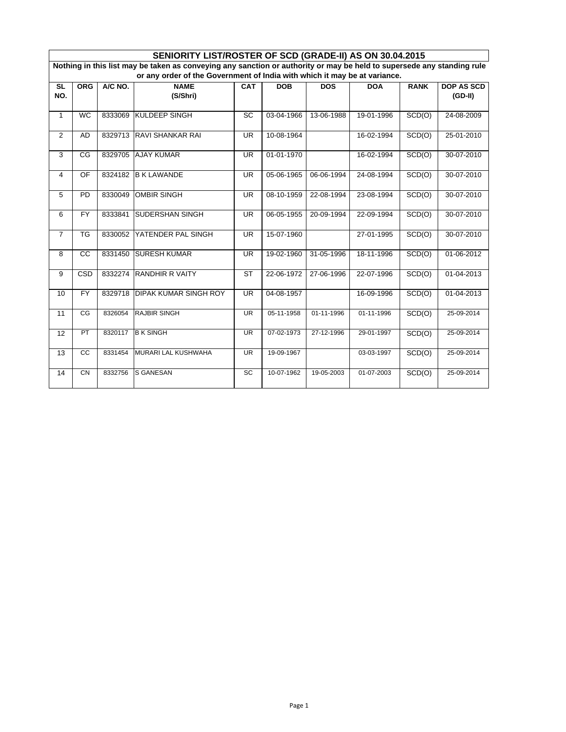|                                                                                                                        | SENIORITY LIST/ROSTER OF SCD (GRADE-II) AS ON 30.04.2015 |         |                              |                          |            |            |            |             |                   |  |
|------------------------------------------------------------------------------------------------------------------------|----------------------------------------------------------|---------|------------------------------|--------------------------|------------|------------|------------|-------------|-------------------|--|
| Nothing in this list may be taken as conveying any sanction or authority or may be held to supersede any standing rule |                                                          |         |                              |                          |            |            |            |             |                   |  |
| or any order of the Government of India with which it may be at variance.                                              |                                                          |         |                              |                          |            |            |            |             |                   |  |
| <b>SL</b>                                                                                                              | <b>ORG</b>                                               | A/C NO. | <b>NAME</b>                  | CAT                      | <b>DOB</b> | <b>DOS</b> | <b>DOA</b> | <b>RANK</b> | <b>DOP AS SCD</b> |  |
| NO.                                                                                                                    |                                                          |         | (S/Shri)                     |                          |            |            |            |             | $(GD-II)$         |  |
|                                                                                                                        |                                                          |         |                              |                          |            |            |            |             |                   |  |
| $\mathbf{1}$                                                                                                           | <b>WC</b>                                                | 8333069 | <b>KULDEEP SINGH</b>         | SC                       | 03-04-1966 | 13-06-1988 | 19-01-1996 | SCD(O)      | 24-08-2009        |  |
|                                                                                                                        |                                                          |         |                              |                          |            |            |            |             |                   |  |
| $\overline{2}$                                                                                                         | <b>AD</b>                                                | 8329713 | <b>RAVI SHANKAR RAI</b>      | <b>UR</b>                | 10-08-1964 |            | 16-02-1994 | SCD(O)      | 25-01-2010        |  |
|                                                                                                                        |                                                          |         |                              |                          |            |            |            |             |                   |  |
| 3                                                                                                                      | CG                                                       | 8329705 | <b>AJAY KUMAR</b>            | <b>UR</b>                | 01-01-1970 |            | 16-02-1994 | SCD(O)      | 30-07-2010        |  |
|                                                                                                                        |                                                          |         |                              |                          |            |            |            |             |                   |  |
| 4                                                                                                                      | OF                                                       | 8324182 | <b>B K LAWANDE</b>           | <b>UR</b>                | 05-06-1965 | 06-06-1994 | 24-08-1994 | SCD(O)      | 30-07-2010        |  |
|                                                                                                                        | <b>PD</b>                                                |         | <b>OMBIR SINGH</b>           | <b>UR</b>                |            | 22-08-1994 | 23-08-1994 |             | 30-07-2010        |  |
| 5                                                                                                                      |                                                          | 8330049 |                              |                          | 08-10-1959 |            |            | SCD(O)      |                   |  |
| 6                                                                                                                      | <b>FY</b>                                                | 8333841 | SUDERSHAN SINGH              | <b>UR</b>                | 06-05-1955 | 20-09-1994 | 22-09-1994 | SCD(O)      | 30-07-2010        |  |
|                                                                                                                        |                                                          |         |                              |                          |            |            |            |             |                   |  |
| $\overline{7}$                                                                                                         | $\overline{\text{TS}}$                                   | 8330052 | YATENDER PAL SINGH           | $\overline{\mathsf{UR}}$ | 15-07-1960 |            | 27-01-1995 | SCD(O)      | 30-07-2010        |  |
|                                                                                                                        |                                                          |         |                              |                          |            |            |            |             |                   |  |
| 8                                                                                                                      | $\overline{cc}$                                          | 8331450 | <b>SURESH KUMAR</b>          | $\overline{\mathsf{UR}}$ | 19-02-1960 | 31-05-1996 | 18-11-1996 | SCD(O)      | 01-06-2012        |  |
|                                                                                                                        |                                                          |         |                              |                          |            |            |            |             |                   |  |
| 9                                                                                                                      | CSD                                                      | 8332274 | <b>RANDHIR R VAITY</b>       | <b>ST</b>                | 22-06-1972 | 27-06-1996 | 22-07-1996 | SCD(O)      | 01-04-2013        |  |
|                                                                                                                        |                                                          |         |                              |                          |            |            |            |             |                   |  |
| 10                                                                                                                     | <b>FY</b>                                                | 8329718 | <b>DIPAK KUMAR SINGH ROY</b> | <b>UR</b>                | 04-08-1957 |            | 16-09-1996 | SCD(O)      | 01-04-2013        |  |
|                                                                                                                        |                                                          |         |                              |                          |            |            |            |             |                   |  |
| 11                                                                                                                     | CG                                                       | 8326054 | <b>RAJBIR SINGH</b>          | <b>UR</b>                | 05-11-1958 | 01-11-1996 | 01-11-1996 | SCD(O)      | 25-09-2014        |  |
|                                                                                                                        |                                                          |         |                              |                          |            |            |            |             |                   |  |
| 12                                                                                                                     | PT                                                       | 8320117 | <b>B K SINGH</b>             | <b>UR</b>                | 07-02-1973 | 27-12-1996 | 29-01-1997 | SCD(O)      | $25-09-2014$      |  |
|                                                                                                                        |                                                          |         |                              |                          |            |            |            |             |                   |  |
| 13                                                                                                                     | $\overline{cc}$                                          | 8331454 | MURARI LAL KUSHWAHA          | $\overline{\mathsf{UR}}$ | 19-09-1967 |            | 03-03-1997 | SCD(O)      | 25-09-2014        |  |
|                                                                                                                        |                                                          |         |                              |                          |            |            |            |             |                   |  |
| 14                                                                                                                     | <b>CN</b>                                                | 8332756 | S GANESAN                    | $\overline{SC}$          | 10-07-1962 | 19-05-2003 | 01-07-2003 | SCD(O)      | 25-09-2014        |  |
|                                                                                                                        |                                                          |         |                              |                          |            |            |            |             |                   |  |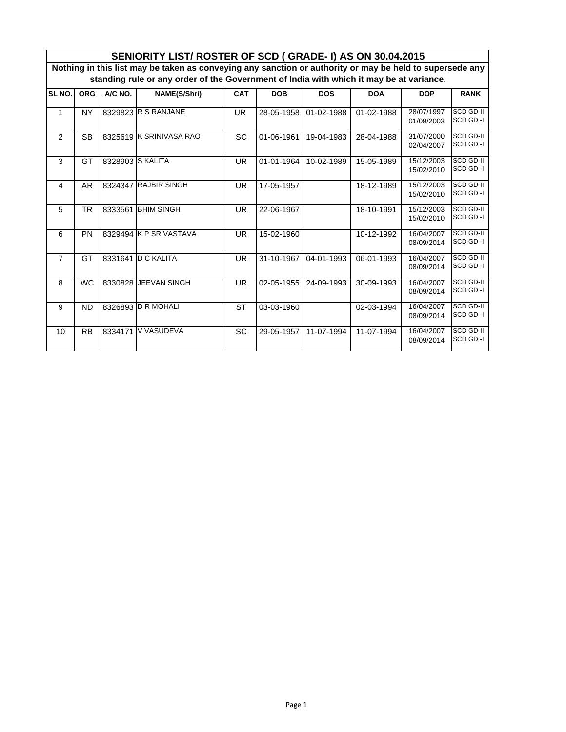|                                                                                                          | SENIORITY LIST/ ROSTER OF SCD (GRADE-I) AS ON 30.04.2015 |           |                         |           |            |            |            |                          |                              |  |
|----------------------------------------------------------------------------------------------------------|----------------------------------------------------------|-----------|-------------------------|-----------|------------|------------|------------|--------------------------|------------------------------|--|
| Nothing in this list may be taken as conveying any sanction or authority or may be held to supersede any |                                                          |           |                         |           |            |            |            |                          |                              |  |
| standing rule or any order of the Government of India with which it may be at variance.                  |                                                          |           |                         |           |            |            |            |                          |                              |  |
| SL NO.                                                                                                   | <b>ORG</b>                                               | $A/C$ NO. | NAME(S/Shri)            | CAT       | <b>DOB</b> | <b>DOS</b> | <b>DOA</b> | <b>DOP</b>               | <b>RANK</b>                  |  |
| $\mathbf{1}$                                                                                             | <b>NY</b>                                                |           | 8329823 R S RANJANE     | <b>UR</b> | 28-05-1958 | 01-02-1988 | 01-02-1988 | 28/07/1997<br>01/09/2003 | <b>SCD GD-II</b><br>SCD GD-I |  |
| $\mathcal{P}$                                                                                            | <b>SB</b>                                                |           | 8325619 K SRINIVASA RAO | <b>SC</b> | 01-06-1961 | 19-04-1983 | 28-04-1988 | 31/07/2000<br>02/04/2007 | <b>SCD GD-II</b><br>SCD GD-I |  |
| 3                                                                                                        | GT                                                       |           | 8328903 S KALITA        | <b>UR</b> | 01-01-1964 | 10-02-1989 | 15-05-1989 | 15/12/2003<br>15/02/2010 | SCD GD-II<br>SCD GD-I        |  |
| 4                                                                                                        | AR                                                       |           | 8324347 RAJBIR SINGH    | <b>UR</b> | 17-05-1957 |            | 18-12-1989 | 15/12/2003<br>15/02/2010 | <b>SCD GD-II</b><br>SCD GD-I |  |
| 5                                                                                                        | <b>TR</b>                                                |           | 8333561 BHIM SINGH      | <b>UR</b> | 22-06-1967 |            | 18-10-1991 | 15/12/2003<br>15/02/2010 | <b>SCD GD-II</b><br>SCD GD-I |  |
| 6                                                                                                        | PN                                                       |           | 8329494 K P SRIVASTAVA  | <b>UR</b> | 15-02-1960 |            | 10-12-1992 | 16/04/2007<br>08/09/2014 | <b>SCD GD-II</b><br>SCD GD-I |  |
| $\overline{7}$                                                                                           | GT                                                       |           | 8331641 D C KALITA      | <b>UR</b> | 31-10-1967 | 04-01-1993 | 06-01-1993 | 16/04/2007<br>08/09/2014 | <b>SCD GD-II</b><br>SCD GD-I |  |
| 8                                                                                                        | <b>WC</b>                                                |           | 8330828 JEEVAN SINGH    | UR.       | 02-05-1955 | 24-09-1993 | 30-09-1993 | 16/04/2007<br>08/09/2014 | SCD GD-II<br>SCD GD-I        |  |
| 9                                                                                                        | <b>ND</b>                                                |           | 8326893 D R MOHALI      | <b>ST</b> | 03-03-1960 |            | 02-03-1994 | 16/04/2007<br>08/09/2014 | <b>SCD GD-II</b><br>SCD GD-I |  |
| 10                                                                                                       | <b>RB</b>                                                | 8334171   | V VASUDEVA              | SC        | 29-05-1957 | 11-07-1994 | 11-07-1994 | 16/04/2007<br>08/09/2014 | SCD GD-II<br>SCD GD-I        |  |